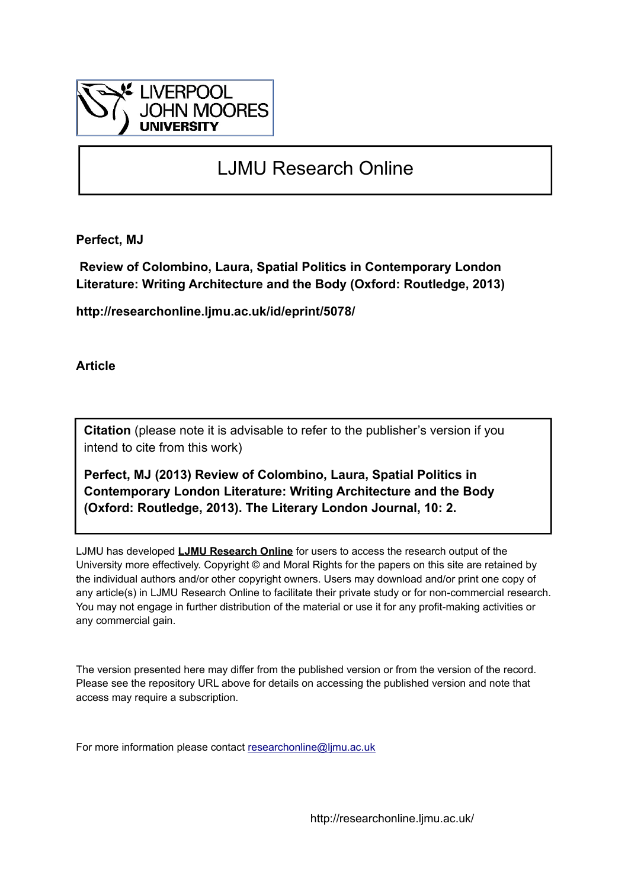

## LJMU Research Online

**Perfect, MJ**

 **Review of Colombino, Laura, Spatial Politics in Contemporary London Literature: Writing Architecture and the Body (Oxford: Routledge, 2013)**

**http://researchonline.ljmu.ac.uk/id/eprint/5078/**

**Article**

**Citation** (please note it is advisable to refer to the publisher's version if you intend to cite from this work)

**Perfect, MJ (2013) Review of Colombino, Laura, Spatial Politics in Contemporary London Literature: Writing Architecture and the Body (Oxford: Routledge, 2013). The Literary London Journal, 10: 2.** 

LJMU has developed **[LJMU Research Online](http://researchonline.ljmu.ac.uk/)** for users to access the research output of the University more effectively. Copyright © and Moral Rights for the papers on this site are retained by the individual authors and/or other copyright owners. Users may download and/or print one copy of any article(s) in LJMU Research Online to facilitate their private study or for non-commercial research. You may not engage in further distribution of the material or use it for any profit-making activities or any commercial gain.

The version presented here may differ from the published version or from the version of the record. Please see the repository URL above for details on accessing the published version and note that access may require a subscription.

For more information please contact [researchonline@ljmu.ac.uk](mailto:researchonline@ljmu.ac.uk)

http://researchonline.ljmu.ac.uk/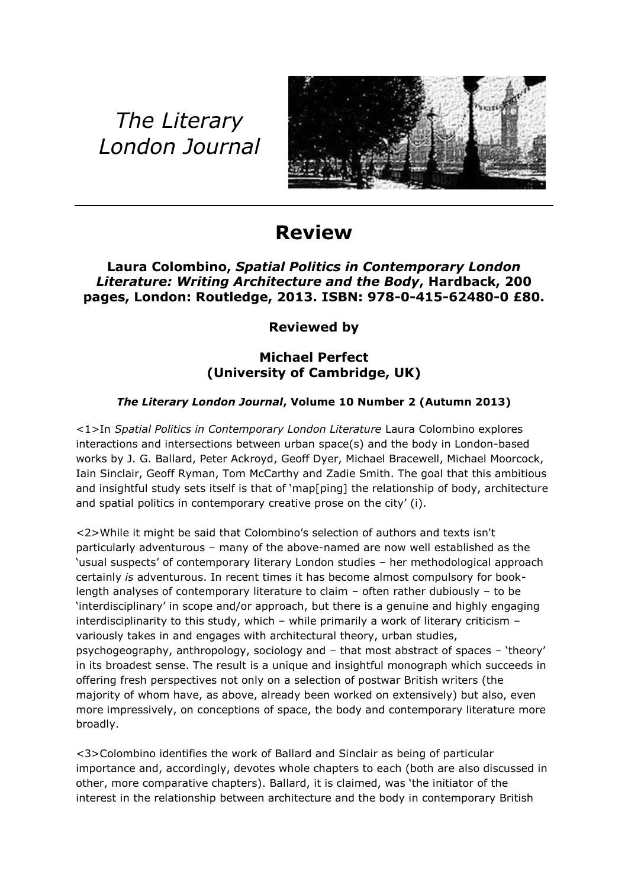# *The Literary London Journal*



## **Review**

### **Laura Colombino,** *Spatial Politics in Contemporary London Literature: Writing Architecture and the Body***, Hardback, 200 pages, London: Routledge, 2013. ISBN: 978-0-415-62480-0 £80.**

**Reviewed by** 

### **Michael Perfect (University of Cambridge, UK)**

### *The Literary London Journal***, Volume 10 Number 2 (Autumn 2013)**

<1>In *Spatial Politics in Contemporary London Literature* Laura Colombino explores interactions and intersections between urban space(s) and the body in London-based works by J. G. Ballard, Peter Ackroyd, Geoff Dyer, Michael Bracewell, Michael Moorcock, Iain Sinclair, Geoff Ryman, Tom McCarthy and Zadie Smith. The goal that this ambitious and insightful study sets itself is that of 'map[ping] the relationship of body, architecture and spatial politics in contemporary creative prose on the city' (i).

<2>While it might be said that Colombino's selection of authors and texts isn't particularly adventurous – many of the above-named are now well established as the 'usual suspects' of contemporary literary London studies – her methodological approach certainly *is* adventurous. In recent times it has become almost compulsory for booklength analyses of contemporary literature to claim – often rather dubiously – to be 'interdisciplinary' in scope and/or approach, but there is a genuine and highly engaging interdisciplinarity to this study, which – while primarily a work of literary criticism – variously takes in and engages with architectural theory, urban studies, psychogeography, anthropology, sociology and – that most abstract of spaces – 'theory' in its broadest sense. The result is a unique and insightful monograph which succeeds in offering fresh perspectives not only on a selection of postwar British writers (the majority of whom have, as above, already been worked on extensively) but also, even more impressively, on conceptions of space, the body and contemporary literature more broadly.

<3>Colombino identifies the work of Ballard and Sinclair as being of particular importance and, accordingly, devotes whole chapters to each (both are also discussed in other, more comparative chapters). Ballard, it is claimed, was 'the initiator of the interest in the relationship between architecture and the body in contemporary British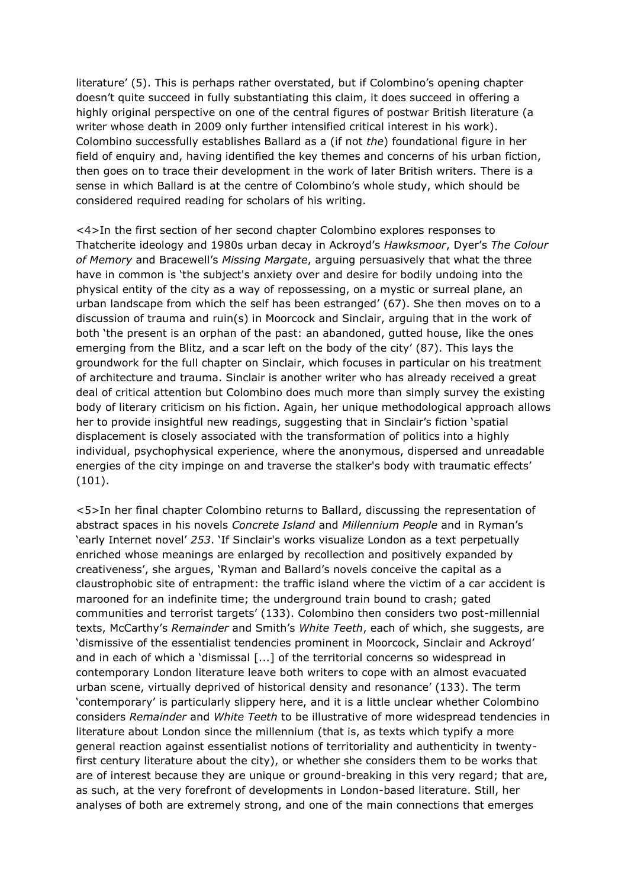literature' (5). This is perhaps rather overstated, but if Colombino's opening chapter doesn't quite succeed in fully substantiating this claim, it does succeed in offering a highly original perspective on one of the central figures of postwar British literature (a writer whose death in 2009 only further intensified critical interest in his work). Colombino successfully establishes Ballard as a (if not *the*) foundational figure in her field of enquiry and, having identified the key themes and concerns of his urban fiction, then goes on to trace their development in the work of later British writers. There is a sense in which Ballard is at the centre of Colombino's whole study, which should be considered required reading for scholars of his writing.

<4>In the first section of her second chapter Colombino explores responses to Thatcherite ideology and 1980s urban decay in Ackroyd's *Hawksmoor*, Dyer's *The Colour of Memory* and Bracewell's *Missing Margate*, arguing persuasively that what the three have in common is 'the subject's anxiety over and desire for bodily undoing into the physical entity of the city as a way of repossessing, on a mystic or surreal plane, an urban landscape from which the self has been estranged' (67). She then moves on to a discussion of trauma and ruin(s) in Moorcock and Sinclair, arguing that in the work of both 'the present is an orphan of the past: an abandoned, gutted house, like the ones emerging from the Blitz, and a scar left on the body of the city' (87). This lays the groundwork for the full chapter on Sinclair, which focuses in particular on his treatment of architecture and trauma. Sinclair is another writer who has already received a great deal of critical attention but Colombino does much more than simply survey the existing body of literary criticism on his fiction. Again, her unique methodological approach allows her to provide insightful new readings, suggesting that in Sinclair's fiction 'spatial displacement is closely associated with the transformation of politics into a highly individual, psychophysical experience, where the anonymous, dispersed and unreadable energies of the city impinge on and traverse the stalker's body with traumatic effects' (101).

<5>In her final chapter Colombino returns to Ballard, discussing the representation of abstract spaces in his novels *Concrete Island* and *Millennium People* and in Ryman's 'early Internet novel' *253*. 'If Sinclair's works visualize London as a text perpetually enriched whose meanings are enlarged by recollection and positively expanded by creativeness', she argues, 'Ryman and Ballard's novels conceive the capital as a claustrophobic site of entrapment: the traffic island where the victim of a car accident is marooned for an indefinite time; the underground train bound to crash; gated communities and terrorist targets' (133). Colombino then considers two post-millennial texts, McCarthy's *Remainder* and Smith's *White Teeth*, each of which, she suggests, are 'dismissive of the essentialist tendencies prominent in Moorcock, Sinclair and Ackroyd' and in each of which a 'dismissal [...] of the territorial concerns so widespread in contemporary London literature leave both writers to cope with an almost evacuated urban scene, virtually deprived of historical density and resonance' (133). The term 'contemporary' is particularly slippery here, and it is a little unclear whether Colombino considers *Remainder* and *White Teeth* to be illustrative of more widespread tendencies in literature about London since the millennium (that is, as texts which typify a more general reaction against essentialist notions of territoriality and authenticity in twentyfirst century literature about the city), or whether she considers them to be works that are of interest because they are unique or ground-breaking in this very regard; that are, as such, at the very forefront of developments in London-based literature. Still, her analyses of both are extremely strong, and one of the main connections that emerges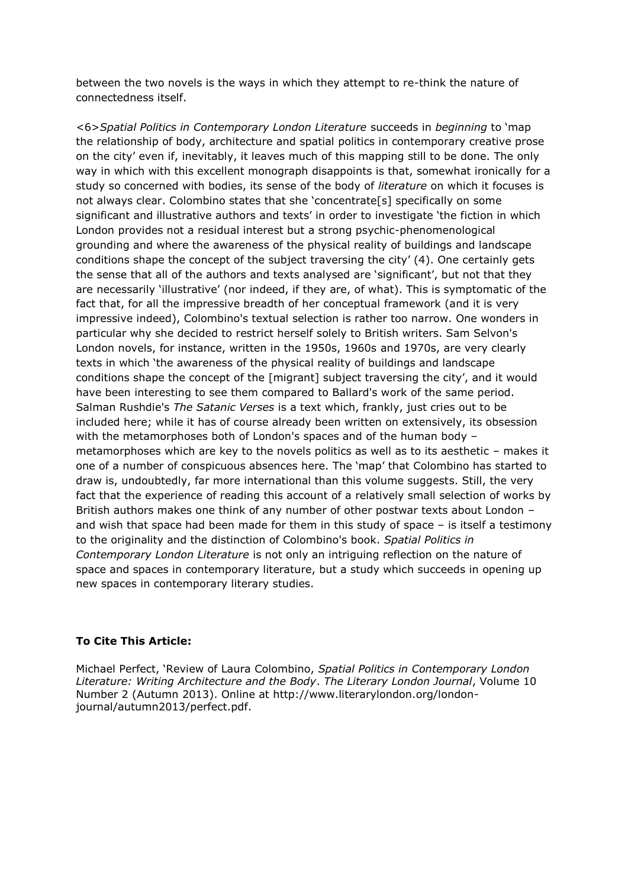between the two novels is the ways in which they attempt to re-think the nature of connectedness itself.

<6>*Spatial Politics in Contemporary London Literature* succeeds in *beginning* to 'map the relationship of body, architecture and spatial politics in contemporary creative prose on the city' even if, inevitably, it leaves much of this mapping still to be done. The only way in which with this excellent monograph disappoints is that, somewhat ironically for a study so concerned with bodies, its sense of the body of *literature* on which it focuses is not always clear. Colombino states that she 'concentrate[s] specifically on some significant and illustrative authors and texts' in order to investigate 'the fiction in which London provides not a residual interest but a strong psychic-phenomenological grounding and where the awareness of the physical reality of buildings and landscape conditions shape the concept of the subject traversing the city' (4). One certainly gets the sense that all of the authors and texts analysed are 'significant', but not that they are necessarily 'illustrative' (nor indeed, if they are, of what). This is symptomatic of the fact that, for all the impressive breadth of her conceptual framework (and it is very impressive indeed), Colombino's textual selection is rather too narrow. One wonders in particular why she decided to restrict herself solely to British writers. Sam Selvon's London novels, for instance, written in the 1950s, 1960s and 1970s, are very clearly texts in which 'the awareness of the physical reality of buildings and landscape conditions shape the concept of the [migrant] subject traversing the city', and it would have been interesting to see them compared to Ballard's work of the same period. Salman Rushdie's *The Satanic Verses* is a text which, frankly, just cries out to be included here; while it has of course already been written on extensively, its obsession with the metamorphoses both of London's spaces and of the human body – metamorphoses which are key to the novels politics as well as to its aesthetic – makes it one of a number of conspicuous absences here. The 'map' that Colombino has started to draw is, undoubtedly, far more international than this volume suggests. Still, the very fact that the experience of reading this account of a relatively small selection of works by British authors makes one think of any number of other postwar texts about London – and wish that space had been made for them in this study of space – is itself a testimony to the originality and the distinction of Colombino's book. *Spatial Politics in Contemporary London Literature* is not only an intriguing reflection on the nature of space and spaces in contemporary literature, but a study which succeeds in opening up new spaces in contemporary literary studies.

#### **To Cite This Article:**

Michael Perfect, 'Review of Laura Colombino, *Spatial Politics in Contemporary London Literature: Writing Architecture and the Body*. *The Literary London Journal*, Volume 10 Number 2 (Autumn 2013). Online at http://www.literarylondon.org/londonjournal/autumn2013/perfect.pdf.